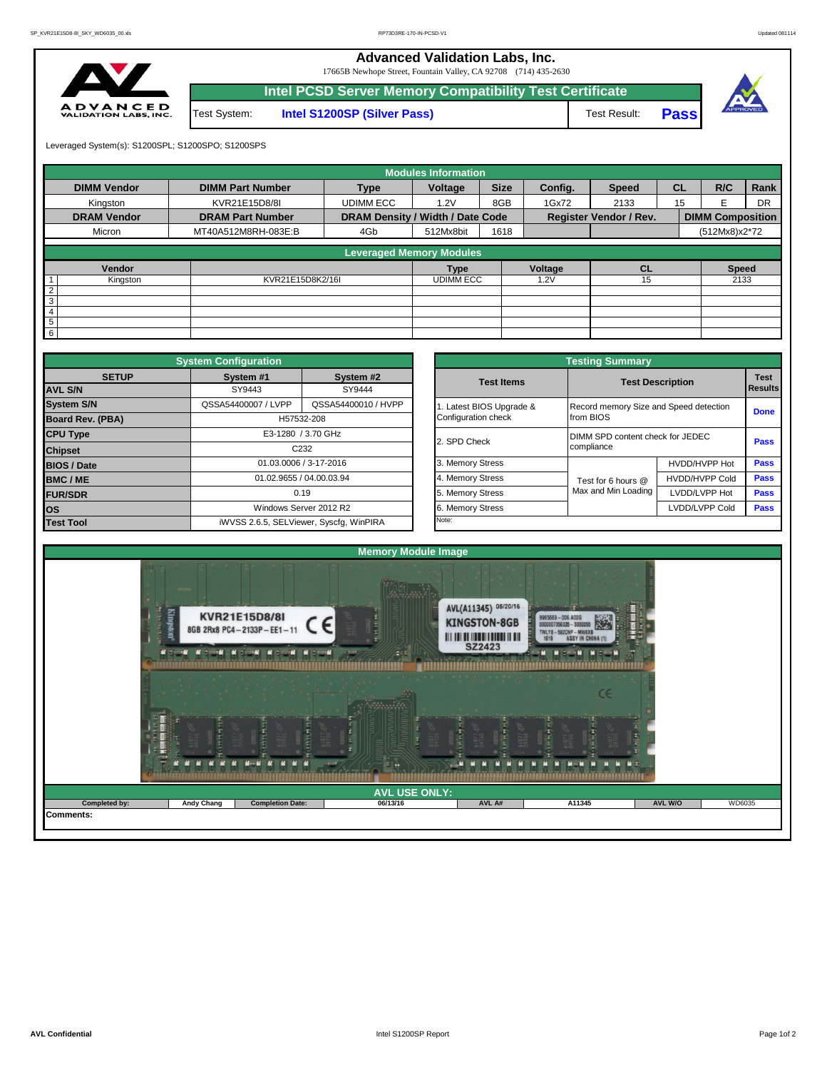**Advanced Validation Labs, Inc.** 

17665B Newhope Street, Fountain Valley, CA 92708 (714) 435-2630



|                |              | Intel PCSD Server Memory Compatibility Test Certificate |              |             |          |
|----------------|--------------|---------------------------------------------------------|--------------|-------------|----------|
| E D<br>S, INC. | Test System: | <b>Intel S1200SP (Silver Pass)</b>                      | Test Result: | <b>Pass</b> | APPROVED |

Leveraged System(s): S1200SPL; S1200SPO; S1200SPS

|                    |                         |                                  | <b>Modules Information</b> |             |                                                                     |              |           |                         |           |
|--------------------|-------------------------|----------------------------------|----------------------------|-------------|---------------------------------------------------------------------|--------------|-----------|-------------------------|-----------|
| <b>DIMM Vendor</b> | <b>DIMM Part Number</b> | <b>Type</b>                      | Voltage                    | <b>Size</b> | Config.                                                             | <b>Speed</b> | <b>CL</b> | R/C                     | Rank      |
| Kingston           | KVR21E15D8/8I           | <b>UDIMM ECC</b>                 | 1.2V                       | 8GB         | 1Gx72                                                               | 2133         | 15        | F                       | <b>DR</b> |
| <b>DRAM Vendor</b> | <b>DRAM Part Number</b> | DRAM Density / Width / Date Code |                            |             |                                                                     |              |           | <b>DIMM Composition</b> |           |
| Micron             | MT40A512M8RH-083E:B     | 4Gb                              | 512Mx8bit                  | 1618        |                                                                     |              |           | (512Mx8)x2*72           |           |
|                    |                         | <b>Leveraged Memory Modules</b>  |                            |             |                                                                     |              |           |                         |           |
|                    |                         |                                  |                            |             |                                                                     |              |           |                         |           |
| Vendor             |                         |                                  | <b>Type</b>                |             | <b>Register Vendor / Rev.</b><br>Voltage<br><b>CL</b><br>1.2V<br>15 |              |           | <b>Speed</b>            |           |
| Kingston           | KVR21E15D8K2/16I        |                                  | <b>UDIMM ECC</b>           |             |                                                                     |              |           | 2133                    |           |
| $\overline{2}$     |                         |                                  |                            |             |                                                                     |              |           |                         |           |
| 3                  |                         |                                  |                            |             |                                                                     |              |           |                         |           |
| $\overline{4}$     |                         |                                  |                            |             |                                                                     |              |           |                         |           |
| $\overline{5}$     |                         |                                  |                            |             |                                                                     |              |           |                         |           |
| $6\overline{6}$    |                         |                                  |                            |             |                                                                     |              |           |                         |           |

|                         | <b>System Configuration</b> |                                         |                       | <b>Testing Summary</b>                 |                         |             |  |  |
|-------------------------|-----------------------------|-----------------------------------------|-----------------------|----------------------------------------|-------------------------|-------------|--|--|
| <b>SETUP</b>            | System #1                   | System #2                               | <b>Test Items</b>     |                                        | <b>Test Description</b> | <b>Test</b> |  |  |
| <b>AVL S/N</b>          | SY9443                      | SY9444                                  |                       |                                        |                         | Results     |  |  |
| <b>System S/N</b>       | QSSA54400007 / LVPP         | QSSA54400010 / HVPP                     | Latest BIOS Upgrade & | Record memory Size and Speed detection |                         | <b>Done</b> |  |  |
| <b>Board Rev. (PBA)</b> |                             | H57532-208                              | Configuration check   | from BIOS                              |                         |             |  |  |
| <b>CPU Type</b>         |                             | E3-1280 / 3.70 GHz                      | 2. SPD Check          | DIMM SPD content check for JEDEC       |                         | <b>Pass</b> |  |  |
| <b>Chipset</b>          |                             | C <sub>232</sub>                        |                       | compliance                             |                         |             |  |  |
| <b>BIOS / Date</b>      |                             | 01.03.0006 / 3-17-2016                  | 3. Memory Stress      |                                        | HVDD/HVPP Hot           | <b>Pass</b> |  |  |
| <b>BMC/ME</b>           |                             | 01.02.9655 / 04.00.03.94                | 4. Memory Stress      | Test for 6 hours @                     | <b>HVDD/HVPP Cold</b>   | Pass        |  |  |
| <b>FUR/SDR</b>          |                             | 0.19                                    | 5. Memory Stress      | Max and Min Loading                    | LVDD/LVPP Hot           | Pass        |  |  |
| los                     | Windows Server 2012 R2      |                                         | 6. Memory Stress      |                                        | LVDD/LVPP Cold          | Pass        |  |  |
| <b>Test Tool</b>        |                             | iWVSS 2.6.5, SELViewer, Syscfq, WinPIRA | Note:                 |                                        |                         |             |  |  |

|              | <b>System Configuration</b>             |                          | <b>Testing Summary</b> |                                        |                       |                |  |  |  |  |  |  |  |
|--------------|-----------------------------------------|--------------------------|------------------------|----------------------------------------|-----------------------|----------------|--|--|--|--|--|--|--|
| <b>SETUP</b> | System #1                               | System #2                | <b>Test Items</b>      | <b>Test Description</b>                | <b>Test</b>           |                |  |  |  |  |  |  |  |
|              | SY9443                                  | SY9444                   |                        |                                        |                       | <b>Results</b> |  |  |  |  |  |  |  |
|              | QSSA54400007 / LVPP                     | QSSA54400010 / HVPP      | Latest BIOS Upgrade &  | Record memory Size and Speed detection |                       | <b>Done</b>    |  |  |  |  |  |  |  |
| PBA)         |                                         | H57532-208               | Configuration check    | from BIOS                              |                       |                |  |  |  |  |  |  |  |
|              | E3-1280 / 3.70 GHz                      |                          | 2. SPD Check           | DIMM SPD content check for JEDEC       |                       | Pass           |  |  |  |  |  |  |  |
|              |                                         | C <sub>232</sub>         |                        | compliance                             |                       |                |  |  |  |  |  |  |  |
|              |                                         | 01.03.0006 / 3-17-2016   | 3. Memory Stress       |                                        | HVDD/HVPP Hot         | Pass           |  |  |  |  |  |  |  |
|              |                                         | 01.02.9655 / 04.00.03.94 | 4. Memory Stress       | Test for 6 hours @                     | <b>HVDD/HVPP Cold</b> | Pass           |  |  |  |  |  |  |  |
|              |                                         | 0.19                     | 5. Memory Stress       | Max and Min Loading                    | Pass                  |                |  |  |  |  |  |  |  |
|              |                                         | Windows Server 2012 R2   | 6. Memory Stress       |                                        | LVDD/LVPP Cold        | Pass           |  |  |  |  |  |  |  |
|              | iWVSS 2.6.5, SELViewer, Syscfq, WinPIRA |                          | Note:                  |                                        |                       |                |  |  |  |  |  |  |  |